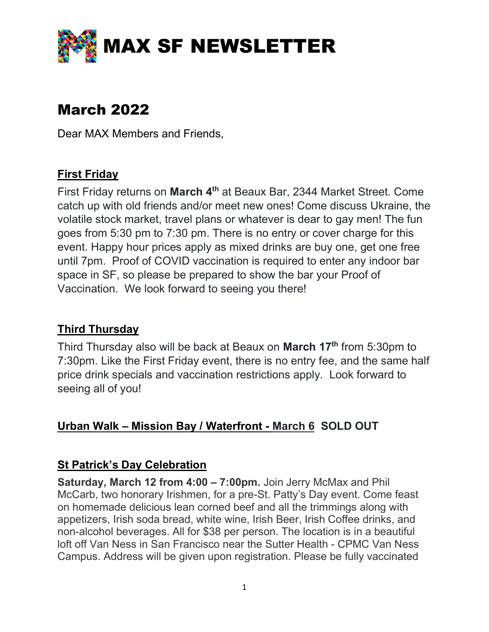

# March 2022

Dear MAX Members and Friends,

# First Friday

First Friday returns on March 4<sup>th</sup> at Beaux Bar, 2344 Market Street. Come catch up with old friends and/or meet new ones! Come discuss Ukraine, the volatile stock market, travel plans or whatever is dear to gay men! The fun goes from 5:30 pm to 7:30 pm. There is no entry or cover charge for this event. Happy hour prices apply as mixed drinks are buy one, get one free until 7pm. Proof of COVID vaccination is required to enter any indoor bar space in SF, so please be prepared to show the bar your Proof of Vaccination. We look forward to seeing you there!

# Third Thursday

Third Thursday also will be back at Beaux on March 17<sup>th</sup> from 5:30pm to 7:30pm. Like the First Friday event, there is no entry fee, and the same half price drink specials and vaccination restrictions apply. Look forward to seeing all of you!

# Urban Walk – Mission Bay / Waterfront - March 6 SOLD OUT

# St Patrick's Day Celebration

Saturday, March 12 from 4:00 – 7:00pm. Join Jerry McMax and Phil McCarb, two honorary Irishmen, for a pre-St. Patty's Day event. Come feast on homemade delicious lean corned beef and all the trimmings along with appetizers, Irish soda bread, white wine, Irish Beer, Irish Coffee drinks, and non-alcohol beverages. All for \$38 per person. The location is in a beautiful loft off Van Ness in San Francisco near the Sutter Health - CPMC Van Ness Campus. Address will be given upon registration. Please be fully vaccinated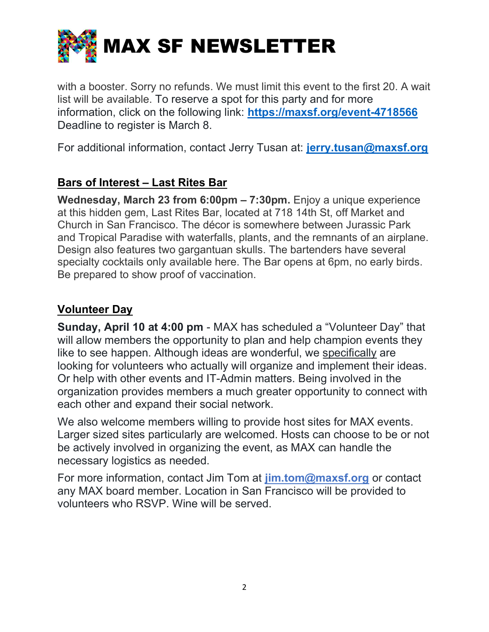

with a booster. Sorry no refunds. We must limit this event to the first 20. A wait list will be available. To reserve a spot for this party and for more information, click on the following link: https://maxsf.org/event-4718566 Deadline to register is March 8.

For additional information, contact Jerry Tusan at: jerry.tusan@maxsf.org

# Bars of Interest – Last Rites Bar

Wednesday, March 23 from 6:00pm - 7:30pm. Enjoy a unique experience at this hidden gem, Last Rites Bar, located at 718 14th St, off Market and Church in San Francisco. The décor is somewhere between Jurassic Park and Tropical Paradise with waterfalls, plants, and the remnants of an airplane. Design also features two gargantuan skulls. The bartenders have several specialty cocktails only available here. The Bar opens at 6pm, no early birds. Be prepared to show proof of vaccination.

#### Volunteer Day

Sunday, April 10 at 4:00 pm - MAX has scheduled a "Volunteer Day" that will allow members the opportunity to plan and help champion events they like to see happen. Although ideas are wonderful, we specifically are looking for volunteers who actually will organize and implement their ideas. Or help with other events and IT-Admin matters. Being involved in the organization provides members a much greater opportunity to connect with each other and expand their social network.

We also welcome members willing to provide host sites for MAX events. Larger sized sites particularly are welcomed. Hosts can choose to be or not be actively involved in organizing the event, as MAX can handle the necessary logistics as needed.

For more information, contact Jim Tom at  $\lim_{\alpha \to 0}$  maxsf.org or contact any MAX board member. Location in San Francisco will be provided to volunteers who RSVP. Wine will be served.